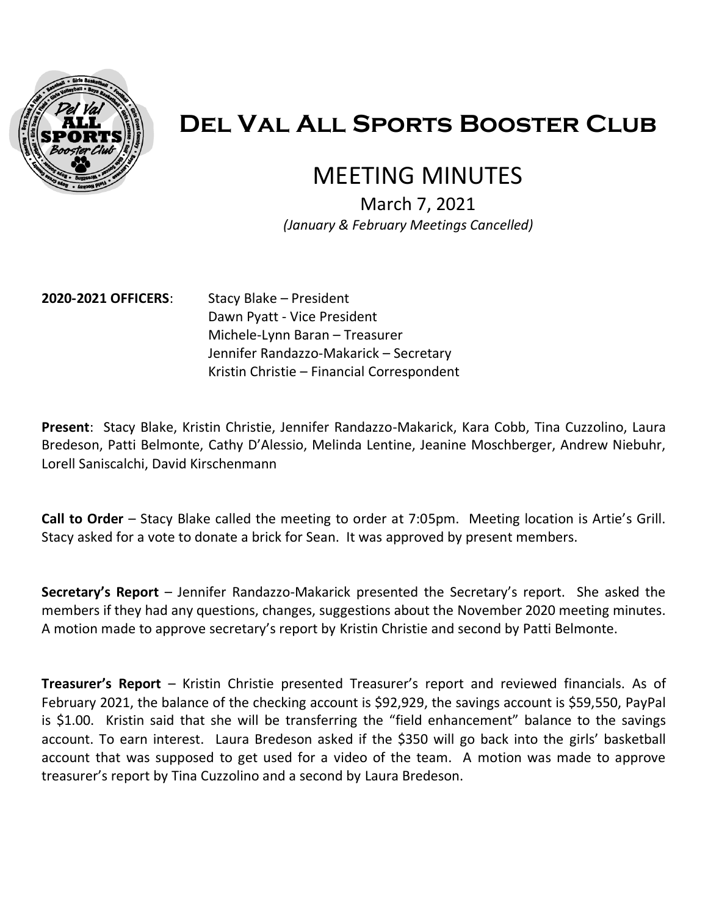

# **Del Val All Sports Booster Club**

## MEETING MINUTES

March 7, 2021  *(January & February Meetings Cancelled)*

**2020-2021 OFFICERS**: Stacy Blake – President

Dawn Pyatt - Vice President Michele-Lynn Baran – Treasurer Jennifer Randazzo-Makarick – Secretary Kristin Christie – Financial Correspondent

**Present**: Stacy Blake, Kristin Christie, Jennifer Randazzo-Makarick, Kara Cobb, Tina Cuzzolino, Laura Bredeson, Patti Belmonte, Cathy D'Alessio, Melinda Lentine, Jeanine Moschberger, Andrew Niebuhr, Lorell Saniscalchi, David Kirschenmann

**Call to Order** – Stacy Blake called the meeting to order at 7:05pm. Meeting location is Artie's Grill. Stacy asked for a vote to donate a brick for Sean. It was approved by present members.

**Secretary's Report** – Jennifer Randazzo-Makarick presented the Secretary's report. She asked the members if they had any questions, changes, suggestions about the November 2020 meeting minutes. A motion made to approve secretary's report by Kristin Christie and second by Patti Belmonte.

**Treasurer's Report** – Kristin Christie presented Treasurer's report and reviewed financials. As of February 2021, the balance of the checking account is \$92,929, the savings account is \$59,550, PayPal is \$1.00. Kristin said that she will be transferring the "field enhancement" balance to the savings account. To earn interest. Laura Bredeson asked if the \$350 will go back into the girls' basketball account that was supposed to get used for a video of the team. A motion was made to approve treasurer's report by Tina Cuzzolino and a second by Laura Bredeson.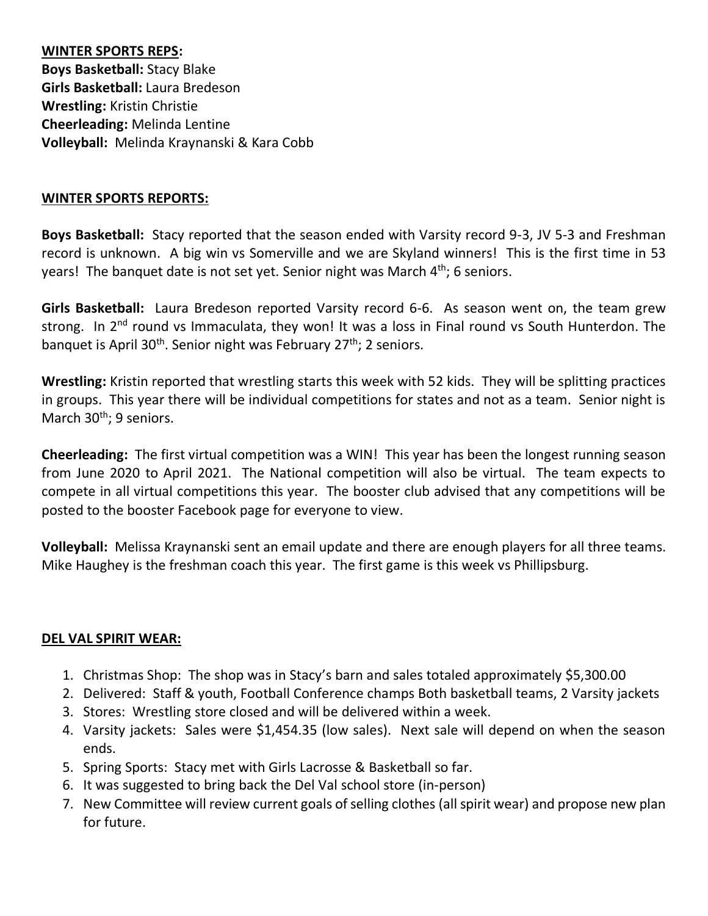**WINTER SPORTS REPS: Boys Basketball:** Stacy Blake **Girls Basketball:** Laura Bredeson **Wrestling:** Kristin Christie **Cheerleading:** Melinda Lentine **Volleyball:** Melinda Kraynanski & Kara Cobb

## **WINTER SPORTS REPORTS:**

**Boys Basketball:** Stacy reported that the season ended with Varsity record 9-3, JV 5-3 and Freshman record is unknown. A big win vs Somerville and we are Skyland winners! This is the first time in 53 years! The banquet date is not set yet. Senior night was March  $4<sup>th</sup>$ ; 6 seniors.

**Girls Basketball:** Laura Bredeson reported Varsity record 6-6. As season went on, the team grew strong. In 2<sup>nd</sup> round vs Immaculata, they won! It was a loss in Final round vs South Hunterdon. The banquet is April 30<sup>th</sup>. Senior night was February 27<sup>th</sup>; 2 seniors.

**Wrestling:** Kristin reported that wrestling starts this week with 52 kids. They will be splitting practices in groups. This year there will be individual competitions for states and not as a team. Senior night is March 30<sup>th</sup>; 9 seniors.

**Cheerleading:** The first virtual competition was a WIN! This year has been the longest running season from June 2020 to April 2021. The National competition will also be virtual. The team expects to compete in all virtual competitions this year. The booster club advised that any competitions will be posted to the booster Facebook page for everyone to view.

**Volleyball:** Melissa Kraynanski sent an email update and there are enough players for all three teams. Mike Haughey is the freshman coach this year. The first game is this week vs Phillipsburg.

## **DEL VAL SPIRIT WEAR:**

- 1. Christmas Shop: The shop was in Stacy's barn and sales totaled approximately \$5,300.00
- 2. Delivered: Staff & youth, Football Conference champs Both basketball teams, 2 Varsity jackets
- 3. Stores: Wrestling store closed and will be delivered within a week.
- 4. Varsity jackets: Sales were \$1,454.35 (low sales). Next sale will depend on when the season ends.
- 5. Spring Sports: Stacy met with Girls Lacrosse & Basketball so far.
- 6. It was suggested to bring back the Del Val school store (in-person)
- 7. New Committee will review current goals of selling clothes (all spirit wear) and propose new plan for future.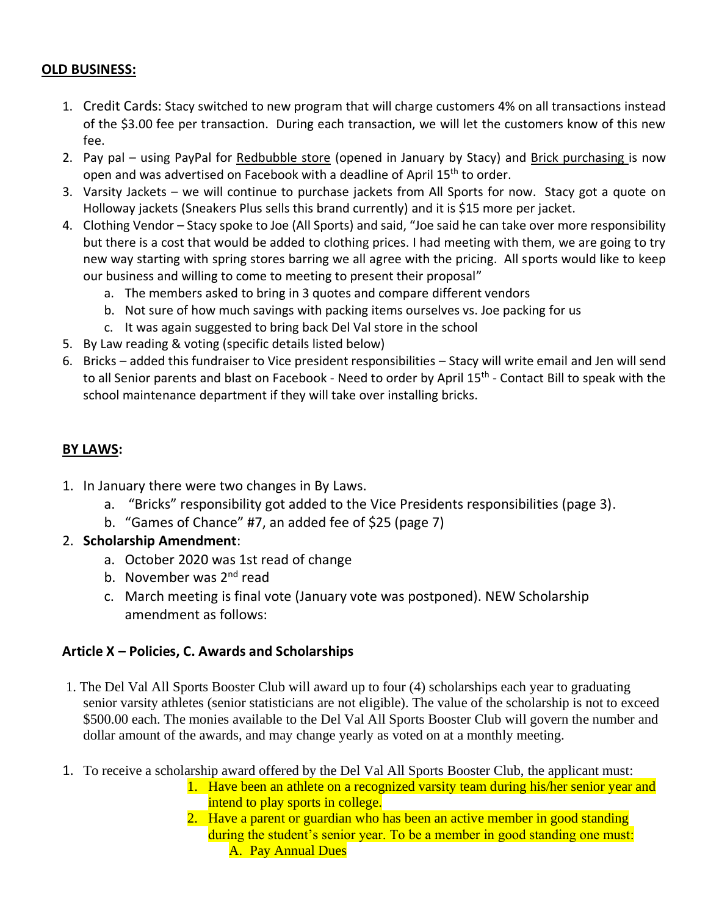## **OLD BUSINESS:**

- 1. Credit Cards: Stacy switched to new program that will charge customers 4% on all transactions instead of the \$3.00 fee per transaction. During each transaction, we will let the customers know of this new fee.
- 2. Pay pal using PayPal for Redbubble store (opened in January by Stacy) and Brick purchasing is now open and was advertised on Facebook with a deadline of April 15<sup>th</sup> to order.
- 3. Varsity Jackets we will continue to purchase jackets from All Sports for now. Stacy got a quote on Holloway jackets (Sneakers Plus sells this brand currently) and it is \$15 more per jacket.
- 4. Clothing Vendor Stacy spoke to Joe (All Sports) and said, "Joe said he can take over more responsibility but there is a cost that would be added to clothing prices. I had meeting with them, we are going to try new way starting with spring stores barring we all agree with the pricing. All sports would like to keep our business and willing to come to meeting to present their proposal"
	- a. The members asked to bring in 3 quotes and compare different vendors
	- b. Not sure of how much savings with packing items ourselves vs. Joe packing for us
	- c. It was again suggested to bring back Del Val store in the school
- 5. By Law reading & voting (specific details listed below)
- 6. Bricks added this fundraiser to Vice president responsibilities Stacy will write email and Jen will send to all Senior parents and blast on Facebook - Need to order by April 15<sup>th</sup> - Contact Bill to speak with the school maintenance department if they will take over installing bricks.

## **BY LAWS:**

- 1. In January there were two changes in By Laws.
	- a. "Bricks" responsibility got added to the Vice Presidents responsibilities (page 3).
	- b. "Games of Chance" #7, an added fee of \$25 (page 7)
- 2. **Scholarship Amendment**:
	- a. October 2020 was 1st read of change
	- b. November was 2<sup>nd</sup> read
	- c. March meeting is final vote (January vote was postponed). NEW Scholarship amendment as follows:

## **Article X – Policies, C. Awards and Scholarships**

- 1. The Del Val All Sports Booster Club will award up to four (4) scholarships each year to graduating senior varsity athletes (senior statisticians are not eligible). The value of the scholarship is not to exceed \$500.00 each. The monies available to the Del Val All Sports Booster Club will govern the number and dollar amount of the awards, and may change yearly as voted on at a monthly meeting.
- 1. To receive a scholarship award offered by the Del Val All Sports Booster Club, the applicant must:
	- 1. Have been an athlete on a recognized varsity team during his/her senior year and intend to play sports in college.
	- 2. Have a parent or guardian who has been an active member in good standing during the student's senior year. To be a member in good standing one must: A. Pay Annual Dues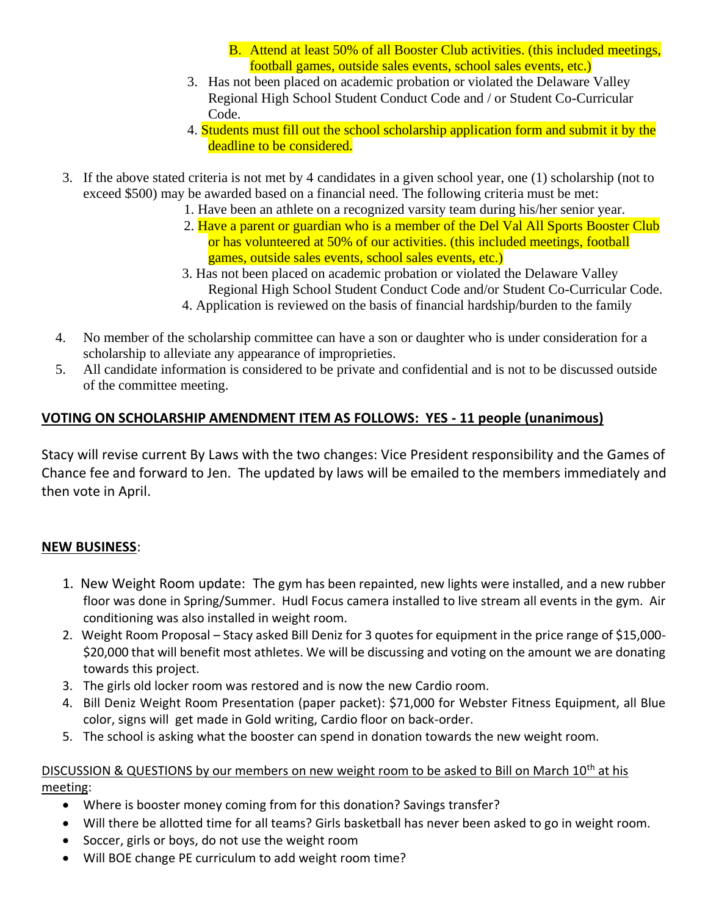- B. Attend at least 50% of all Booster Club activities. (this included meetings, football games, outside sales events, school sales events, etc.)
- 3. Has not been placed on academic probation or violated the Delaware Valley Regional High School Student Conduct Code and / or Student Co-Curricular Code.
- 4. Students must fill out the school scholarship application form and submit it by the deadline to be considered.
- 3. If the above stated criteria is not met by 4 candidates in a given school year, one (1) scholarship (not to exceed \$500) may be awarded based on a financial need. The following criteria must be met:
	- 1. Have been an athlete on a recognized varsity team during his/her senior year.
	- 2. Have a parent or guardian who is a member of the Del Val All Sports Booster Club or has volunteered at 50% of our activities. (this included meetings, football games, outside sales events, school sales events, etc.)
	- 3. Has not been placed on academic probation or violated the Delaware Valley Regional High School Student Conduct Code and/or Student Co-Curricular Code.
	- 4. Application is reviewed on the basis of financial hardship/burden to the family
- 4. No member of the scholarship committee can have a son or daughter who is under consideration for a scholarship to alleviate any appearance of improprieties.
- 5. All candidate information is considered to be private and confidential and is not to be discussed outside of the committee meeting.

## **VOTING ON SCHOLARSHIP AMENDMENT ITEM AS FOLLOWS: YES - 11 people (unanimous)**

Stacy will revise current By Laws with the two changes: Vice President responsibility and the Games of Chance fee and forward to Jen. The updated by laws will be emailed to the members immediately and then vote in April.

## **NEW BUSINESS**:

- 1. New Weight Room update: The gym has been repainted, new lights were installed, and a new rubber floor was done in Spring/Summer. Hudl Focus camera installed to live stream all events in the gym. Air conditioning was also installed in weight room.
- 2. Weight Room Proposal Stacy asked Bill Deniz for 3 quotes for equipment in the price range of \$15,000- \$20,000 that will benefit most athletes. We will be discussing and voting on the amount we are donating towards this project.
- 3. The girls old locker room was restored and is now the new Cardio room.
- 4. Bill Deniz Weight Room Presentation (paper packet): \$71,000 for Webster Fitness Equipment, all Blue color, signs will get made in Gold writing, Cardio floor on back-order.
- 5. The school is asking what the booster can spend in donation towards the new weight room.

## DISCUSSION & QUESTIONS by our members on new weight room to be asked to Bill on March 10<sup>th</sup> at his meeting:

- Where is booster money coming from for this donation? Savings transfer?
- Will there be allotted time for all teams? Girls basketball has never been asked to go in weight room.
- Soccer, girls or boys, do not use the weight room
- Will BOE change PE curriculum to add weight room time?